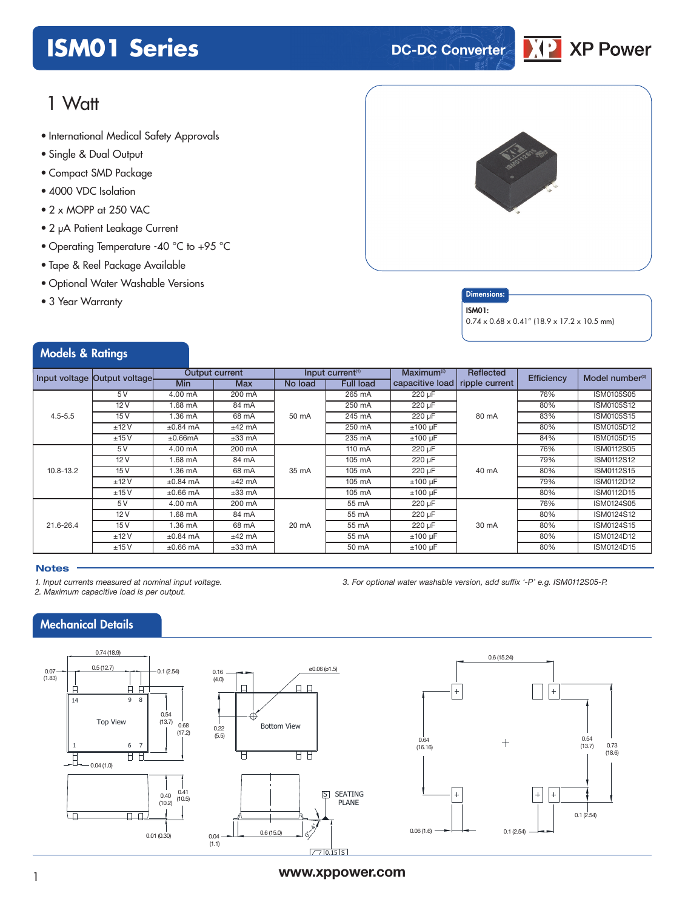# **ISM01 Series DC-DC** Converter



## 1 Watt

- International Medical Safety Approvals
- Single & Dual Output
- Compact SMD Package
- 4000 VDC Isolation
- 2 x MOPP at 250 VAC
- 2 µA Patient Leakage Current
- Operating Temperature -40 °C to +95 °C
- Tape & Reel Package Available
- Optional Water Washable Versions
- 3 Year Warranty



#### **Dimensions**

#### ISM01:

0.74 x 0.68 x 0.41" (18.9 x 17.2 x 10.5 mm)

### Models & Ratings

|               | Input voltage Output voltage- | Output current |            | Input current <sup>(1)</sup> |                  | Maximum <sup>(2)</sup> | <b>Reflected</b> | <b>Efficiency</b> | Model number $(3)$ |
|---------------|-------------------------------|----------------|------------|------------------------------|------------------|------------------------|------------------|-------------------|--------------------|
|               |                               | <b>Min</b>     | <b>Max</b> | No load                      | <b>Full load</b> | capacitive load        | ripple current   |                   |                    |
| $4.5 - 5.5$   | 5V                            | 4.00 mA        | 200 mA     | 50 mA                        | 265 mA           | 220 µF                 | 80 mA            | 76%               | ISM0105S05         |
|               | 12V                           | 1.68 mA        | 84 mA      |                              | 250 mA           | 220 µF                 |                  | 80%               | ISM0105S12         |
|               | 15V                           | 1.36 mA        | 68 mA      |                              | 245 mA           | 220 µF                 |                  | 83%               | ISM0105S15         |
|               | ±12V                          | $\pm 0.84$ mA  | $±42$ mA   |                              | 250 mA           | $±100 \mu F$           |                  | 80%               | ISM0105D12         |
|               | ±15V                          | ±0.66mA        | $±33$ mA   |                              | 235 mA           | $±100 \mu F$           |                  | 84%               | ISM0105D15         |
| $10.8 - 13.2$ | 5V                            | 4.00 mA        | 200 mA     | 35 mA                        | 110 mA           | $220 \mu F$            | 40 mA            | 76%               | ISM0112S05         |
|               | 12V                           | 1.68 mA        | 84 mA      |                              | 105 mA           | 220 µF                 |                  | 79%               | ISM0112S12         |
|               | 15 V                          | 1.36 mA        | 68 mA      |                              | 105 mA           | 220 µF                 |                  | 80%               | ISM0112S15         |
|               | ±12V                          | $\pm 0.84$ mA  | $±42$ mA   |                              | 105 mA           | $±100 \mu F$           |                  | 79%               | ISM0112D12         |
|               | ±15V                          | $\pm 0.66$ mA  | $±33$ mA   |                              | 105 mA           | $±100 \mu F$           |                  | 80%               | ISM0112D15         |
| $21.6 - 26.4$ | 5V                            | 4.00 mA        | 200 mA     | 20 mA                        | 55 mA            | 220 µF                 | 30 mA            | 76%               | ISM0124S05         |
|               | 12V                           | 1.68 mA        | 84 mA      |                              | 55 mA            | 220 µF                 |                  | 80%               | ISM0124S12         |
|               | 15V                           | 1.36 mA        | 68 mA      |                              | 55 mA            | 220 µF                 |                  | 80%               | ISM0124S15         |
|               | ±12V                          | $\pm 0.84$ mA  | $±42$ mA   |                              | 55 mA            | $±100 \mu F$           |                  | 80%               | ISM0124D12         |
|               | ±15V                          | $\pm 0.66$ mA  | $±33$ mA   |                              | 50 mA            | $±100 \mu F$           |                  | 80%               | ISM0124D15         |

#### **Notes**

*1. Input currents measured at nominal input voltage. 2. Maximum capacitive load is per output.*

*3. For optional water washable version, add suffix '-P' e.g. ISM0112S05-P.*





### <sup>1</sup> **www.xppower.com**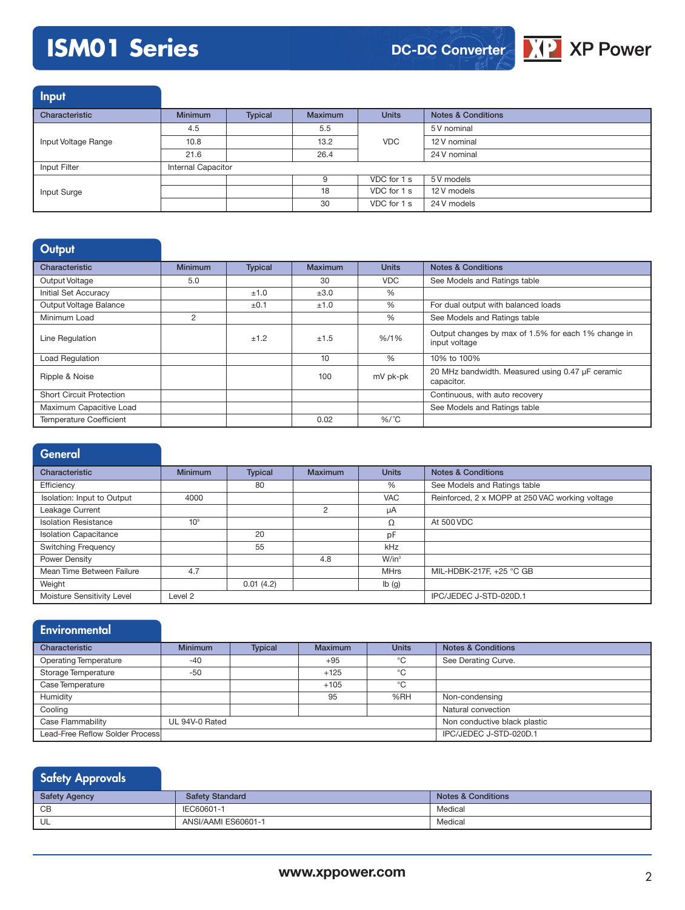# **ISM01 Series**

**DC-DC Converter**



Input Characteristic **Minimum Typical Maximum Units Notes & Conditions** Input Voltage Range 4.5 5.5 VDC 5 V nominal 10.8 13.2 VDC 12 V nominal 21.6 26.4 26.4 24 V nominal Input Filter **Internal Capacitor** Input Surge 9 VDC for 1 s 5V models 18 VDC for 1 s 12 V models 30 VDC for 1 s 24 V models

| Output                          |                |                |                |               |                                                                      |
|---------------------------------|----------------|----------------|----------------|---------------|----------------------------------------------------------------------|
| Characteristic                  | <b>Minimum</b> | <b>Typical</b> | <b>Maximum</b> | <b>Units</b>  | <b>Notes &amp; Conditions</b>                                        |
| Output Voltage                  | 5.0            |                | 30             | <b>VDC</b>    | See Models and Ratings table                                         |
| Initial Set Accuracy            |                | ±1.0           | ±3.0           | $\frac{0}{0}$ |                                                                      |
| Output Voltage Balance          |                | $\pm 0.1$      | ±1.0           | %             | For dual output with balanced loads                                  |
| Minimum Load                    | 2              |                |                | %             | See Models and Ratings table                                         |
| Line Regulation                 |                | ±1.2           | ±1.5           | $% / 1\%$     | Output changes by max of 1.5% for each 1% change in<br>input voltage |
| <b>Load Regulation</b>          |                |                | 10             | $\frac{0}{0}$ | 10% to 100%                                                          |
| Ripple & Noise                  |                |                | 100            | mV pk-pk      | 20 MHz bandwidth. Measured using 0.47 µF ceramic<br>capacitor.       |
| <b>Short Circuit Protection</b> |                |                |                |               | Continuous, with auto recovery                                       |
| Maximum Capacitive Load         |                |                |                |               | See Models and Ratings table                                         |
| <b>Temperature Coefficient</b>  |                |                | 0.02           | $\%$ /°C      |                                                                      |

| General                      |                    |                |                |              |                                                 |
|------------------------------|--------------------|----------------|----------------|--------------|-------------------------------------------------|
| Characteristic               | <b>Minimum</b>     | <b>Typical</b> | <b>Maximum</b> | <b>Units</b> | <b>Notes &amp; Conditions</b>                   |
| Efficiency                   |                    | 80             |                | %            | See Models and Ratings table                    |
| Isolation: Input to Output   | 4000               |                |                | <b>VAC</b>   | Reinforced, 2 x MOPP at 250 VAC working voltage |
| Leakage Current              |                    |                | 2              | μA           |                                                 |
| <b>Isolation Resistance</b>  | 10 <sup>9</sup>    |                |                | Ω            | At 500 VDC                                      |
| <b>Isolation Capacitance</b> |                    | 20             |                | pF           |                                                 |
| <b>Switching Frequency</b>   |                    | 55             |                | kHz          |                                                 |
| Power Density                |                    |                | 4.8            | $W/in^3$     |                                                 |
| Mean Time Between Failure    | 4.7                |                |                | <b>MHrs</b>  | MIL-HDBK-217F, +25 °C GB                        |
| Weight                       |                    | 0.01(4.2)      |                | Ib(g)        |                                                 |
| Moisture Sensitivity Level   | Level <sub>2</sub> |                |                |              | IPC/JEDEC J-STD-020D.1                          |

| <b>Environmental</b>            |                |                |                |              |                               |
|---------------------------------|----------------|----------------|----------------|--------------|-------------------------------|
| Characteristic                  | <b>Minimum</b> | <b>Typical</b> | <b>Maximum</b> | <b>Units</b> | <b>Notes &amp; Conditions</b> |
| <b>Operating Temperature</b>    | $-40$          |                | $+95$          | °C           | See Derating Curve.           |
| Storage Temperature             | $-50$          |                | $+125$         | °C           |                               |
| Case Temperature                |                |                | $+105$         | °C           |                               |
| Humidity                        |                |                | 95             | %RH          | Non-condensing                |
| Cooling                         |                |                |                |              | Natural convection            |
| Case Flammability               | UL 94V-0 Rated |                |                |              | Non conductive black plastic  |
| Lead-Free Reflow Solder Process |                |                |                |              | IPC/JEDEC J-STD-020D.1        |

| Safety Approvals |                        |                               |
|------------------|------------------------|-------------------------------|
| Safety Agency    | <b>Safety Standard</b> | <b>Notes &amp; Conditions</b> |
| CB               | IEC60601-1             | Medical                       |
| UL               | ANSI/AAMI ES60601-1    | Medical                       |